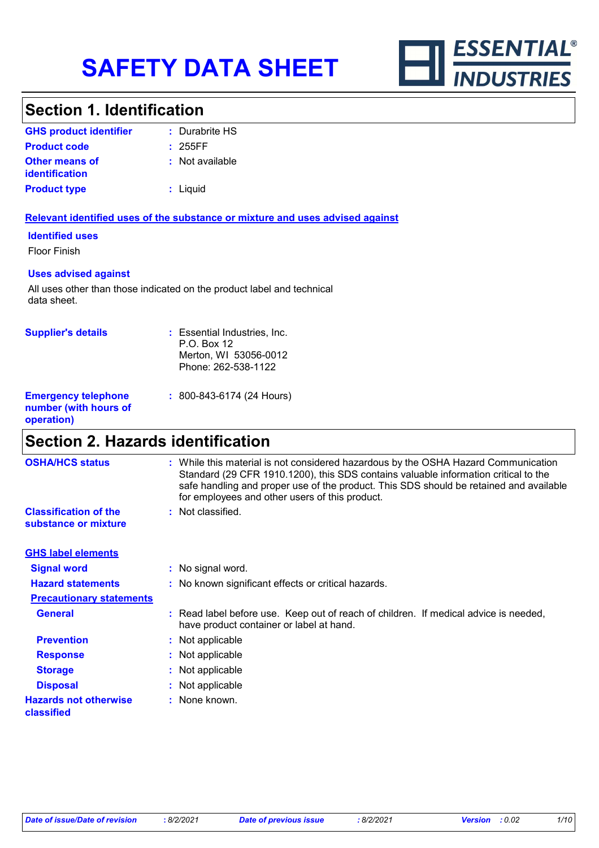

# **Section 1. Identification**

| <b>GHS product identifier</b>                  | : Durabrite HS  |
|------------------------------------------------|-----------------|
| <b>Product code</b>                            | : 255FF         |
| <b>Other means of</b><br><b>identification</b> | : Not available |
| <b>Product type</b>                            | : Liquid        |

## **Relevant identified uses of the substance or mixture and uses advised against**

**Identified uses**

Floor Finish

## **Uses advised against**

All uses other than those indicated on the product label and technical data sheet.

| <b>Supplier's details</b>                                         | : Essential Industries, Inc.<br>P.O. Box 12<br>Merton, WI 53056-0012<br>Phone: 262-538-1122 |
|-------------------------------------------------------------------|---------------------------------------------------------------------------------------------|
| <b>Emergency telephone</b><br>number (with hours of<br>operation) | : 800-843-6174 (24 Hours)                                                                   |

# **Section 2. Hazards identification**

| <b>OSHA/HCS status</b>                               | : While this material is not considered hazardous by the OSHA Hazard Communication<br>Standard (29 CFR 1910.1200), this SDS contains valuable information critical to the<br>safe handling and proper use of the product. This SDS should be retained and available<br>for employees and other users of this product. |
|------------------------------------------------------|-----------------------------------------------------------------------------------------------------------------------------------------------------------------------------------------------------------------------------------------------------------------------------------------------------------------------|
| <b>Classification of the</b><br>substance or mixture | : Not classified.                                                                                                                                                                                                                                                                                                     |
| <b>GHS label elements</b>                            |                                                                                                                                                                                                                                                                                                                       |
| <b>Signal word</b>                                   | : No signal word.                                                                                                                                                                                                                                                                                                     |
| <b>Hazard statements</b>                             | : No known significant effects or critical hazards.                                                                                                                                                                                                                                                                   |
| <b>Precautionary statements</b>                      |                                                                                                                                                                                                                                                                                                                       |
| <b>General</b>                                       | : Read label before use. Keep out of reach of children. If medical advice is needed,<br>have product container or label at hand.                                                                                                                                                                                      |
| <b>Prevention</b>                                    | : Not applicable                                                                                                                                                                                                                                                                                                      |
| <b>Response</b>                                      | : Not applicable                                                                                                                                                                                                                                                                                                      |
| <b>Storage</b>                                       | : Not applicable                                                                                                                                                                                                                                                                                                      |
| <b>Disposal</b>                                      | : Not applicable                                                                                                                                                                                                                                                                                                      |
| <b>Hazards not otherwise</b><br>classified           | : None known.                                                                                                                                                                                                                                                                                                         |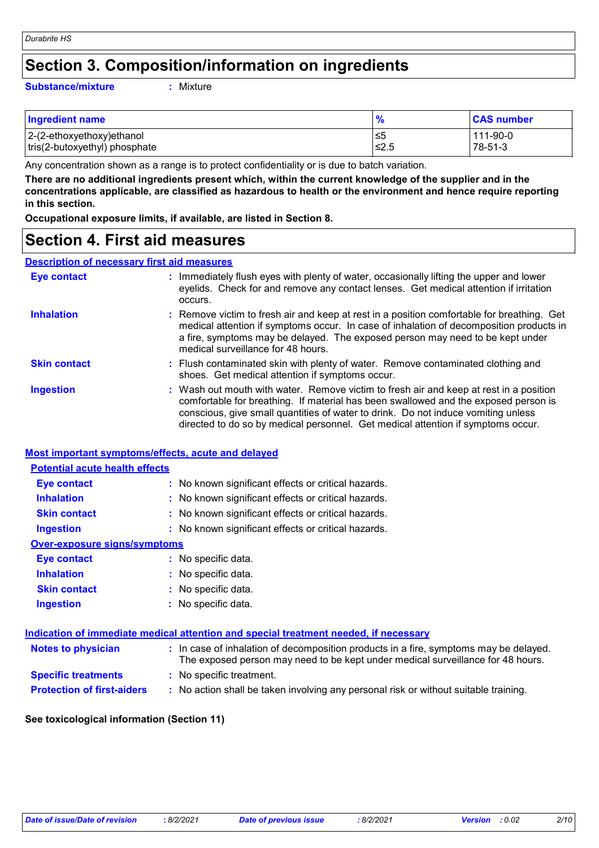# **Section 3. Composition/information on ingredients**

#### **Substance/mixture :**

: Mixture

| <b>Ingredient name</b>        | $\frac{1}{2}$ | <b>CAS number</b> |
|-------------------------------|---------------|-------------------|
| 2-(2-ethoxyethoxy)ethanol     | .≤5           | 111-90-0          |
| tris(2-butoxyethyl) phosphate | 1≤2.5         | 78-51-3           |

Any concentration shown as a range is to protect confidentiality or is due to batch variation.

**There are no additional ingredients present which, within the current knowledge of the supplier and in the concentrations applicable, are classified as hazardous to health or the environment and hence require reporting in this section.**

**Occupational exposure limits, if available, are listed in Section 8.**

# **Section 4. First aid measures**

## **Description of necessary first aid measures**

| <b>Eye contact</b>  | : Immediately flush eyes with plenty of water, occasionally lifting the upper and lower<br>eyelids. Check for and remove any contact lenses. Get medical attention if irritation<br>occurs.                                                                                                                                                            |
|---------------------|--------------------------------------------------------------------------------------------------------------------------------------------------------------------------------------------------------------------------------------------------------------------------------------------------------------------------------------------------------|
| <b>Inhalation</b>   | : Remove victim to fresh air and keep at rest in a position comfortable for breathing. Get<br>medical attention if symptoms occur. In case of inhalation of decomposition products in<br>a fire, symptoms may be delayed. The exposed person may need to be kept under<br>medical surveillance for 48 hours.                                           |
| <b>Skin contact</b> | : Flush contaminated skin with plenty of water. Remove contaminated clothing and<br>shoes. Get medical attention if symptoms occur.                                                                                                                                                                                                                    |
| <b>Ingestion</b>    | : Wash out mouth with water. Remove victim to fresh air and keep at rest in a position<br>comfortable for breathing. If material has been swallowed and the exposed person is<br>conscious, give small quantities of water to drink. Do not induce vomiting unless<br>directed to do so by medical personnel. Get medical attention if symptoms occur. |

## **Most important symptoms/effects, acute and delayed**

| <b>Potential acute health effects</b> |                                                     |
|---------------------------------------|-----------------------------------------------------|
| Eye contact                           | : No known significant effects or critical hazards. |
| <b>Inhalation</b>                     | : No known significant effects or critical hazards. |
| <b>Skin contact</b>                   | : No known significant effects or critical hazards. |
| <b>Ingestion</b>                      | : No known significant effects or critical hazards. |
| <b>Over-exposure signs/symptoms</b>   |                                                     |
| Eye contact                           | : No specific data.                                 |
| <b>Inhalation</b>                     | : No specific data.                                 |
| <b>Skin contact</b>                   | : No specific data.                                 |
| <b>Ingestion</b>                      | : No specific data.                                 |
|                                       |                                                     |

|                                   | Indication of immediate medical attention and special treatment needed, if necessary                                                                                     |  |
|-----------------------------------|--------------------------------------------------------------------------------------------------------------------------------------------------------------------------|--|
| <b>Notes to physician</b>         | : In case of inhalation of decomposition products in a fire, symptoms may be delayed.<br>The exposed person may need to be kept under medical surveillance for 48 hours. |  |
| <b>Specific treatments</b>        | : No specific treatment.                                                                                                                                                 |  |
| <b>Protection of first-aiders</b> | : No action shall be taken involving any personal risk or without suitable training.                                                                                     |  |

## **See toxicological information (Section 11)**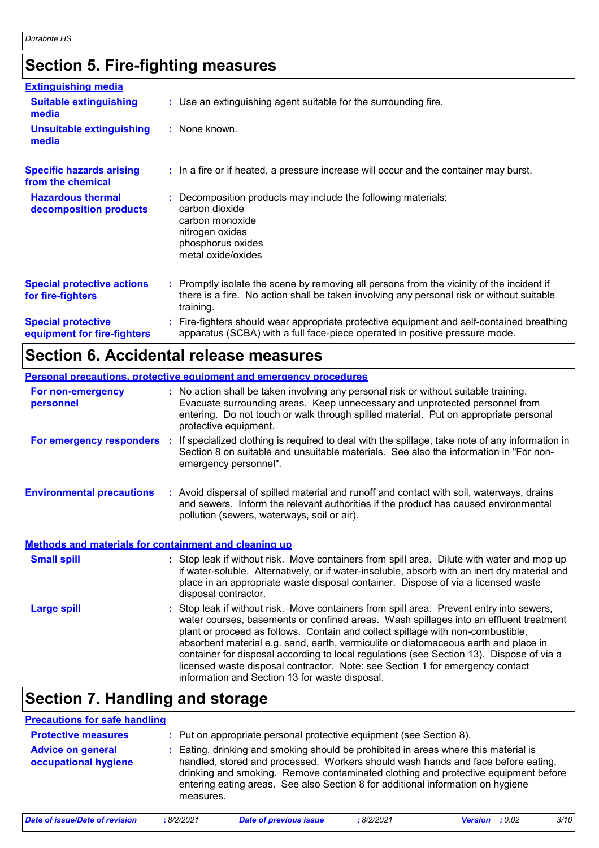# **Section 5. Fire-fighting measures**

| <b>Extinguishing media</b>                               |                                                                                                                                                                                                     |
|----------------------------------------------------------|-----------------------------------------------------------------------------------------------------------------------------------------------------------------------------------------------------|
| <b>Suitable extinguishing</b><br>media                   | : Use an extinguishing agent suitable for the surrounding fire.                                                                                                                                     |
| <b>Unsuitable extinguishing</b><br>media                 | : None known.                                                                                                                                                                                       |
| <b>Specific hazards arising</b><br>from the chemical     | : In a fire or if heated, a pressure increase will occur and the container may burst.                                                                                                               |
| <b>Hazardous thermal</b><br>decomposition products       | Decomposition products may include the following materials:<br>carbon dioxide<br>carbon monoxide<br>nitrogen oxides<br>phosphorus oxides<br>metal oxide/oxides                                      |
| <b>Special protective actions</b><br>for fire-fighters   | : Promptly isolate the scene by removing all persons from the vicinity of the incident if<br>there is a fire. No action shall be taken involving any personal risk or without suitable<br>training. |
| <b>Special protective</b><br>equipment for fire-fighters | Fire-fighters should wear appropriate protective equipment and self-contained breathing<br>apparatus (SCBA) with a full face-piece operated in positive pressure mode.                              |

# **Section 6. Accidental release measures**

|                                                       | <b>Personal precautions, protective equipment and emergency procedures</b>                                                                                                                                                                                                                                                                                                                                                                                                                                                                                                               |
|-------------------------------------------------------|------------------------------------------------------------------------------------------------------------------------------------------------------------------------------------------------------------------------------------------------------------------------------------------------------------------------------------------------------------------------------------------------------------------------------------------------------------------------------------------------------------------------------------------------------------------------------------------|
| For non-emergency<br>personnel                        | : No action shall be taken involving any personal risk or without suitable training.<br>Evacuate surrounding areas. Keep unnecessary and unprotected personnel from<br>entering. Do not touch or walk through spilled material. Put on appropriate personal<br>protective equipment.                                                                                                                                                                                                                                                                                                     |
| For emergency responders :                            | If specialized clothing is required to deal with the spillage, take note of any information in<br>Section 8 on suitable and unsuitable materials. See also the information in "For non-<br>emergency personnel".                                                                                                                                                                                                                                                                                                                                                                         |
| <b>Environmental precautions</b>                      | : Avoid dispersal of spilled material and runoff and contact with soil, waterways, drains<br>and sewers. Inform the relevant authorities if the product has caused environmental<br>pollution (sewers, waterways, soil or air).                                                                                                                                                                                                                                                                                                                                                          |
| Methods and materials for containment and cleaning up |                                                                                                                                                                                                                                                                                                                                                                                                                                                                                                                                                                                          |
| <b>Small spill</b>                                    | : Stop leak if without risk. Move containers from spill area. Dilute with water and mop up<br>if water-soluble. Alternatively, or if water-insoluble, absorb with an inert dry material and<br>place in an appropriate waste disposal container. Dispose of via a licensed waste<br>disposal contractor.                                                                                                                                                                                                                                                                                 |
| <b>Large spill</b>                                    | Stop leak if without risk. Move containers from spill area. Prevent entry into sewers,<br>water courses, basements or confined areas. Wash spillages into an effluent treatment<br>plant or proceed as follows. Contain and collect spillage with non-combustible,<br>absorbent material e.g. sand, earth, vermiculite or diatomaceous earth and place in<br>container for disposal according to local regulations (see Section 13). Dispose of via a<br>licensed waste disposal contractor. Note: see Section 1 for emergency contact<br>information and Section 13 for waste disposal. |

# **Section 7. Handling and storage**

| <b>Precautions for safe handling</b>             |           |                                                                                                                                                                                                                                                                                                                                                |           |                |        |      |
|--------------------------------------------------|-----------|------------------------------------------------------------------------------------------------------------------------------------------------------------------------------------------------------------------------------------------------------------------------------------------------------------------------------------------------|-----------|----------------|--------|------|
| <b>Protective measures</b>                       |           | : Put on appropriate personal protective equipment (see Section 8).                                                                                                                                                                                                                                                                            |           |                |        |      |
| <b>Advice on general</b><br>occupational hygiene | measures. | Eating, drinking and smoking should be prohibited in areas where this material is<br>handled, stored and processed. Workers should wash hands and face before eating,<br>drinking and smoking. Remove contaminated clothing and protective equipment before<br>entering eating areas. See also Section 8 for additional information on hygiene |           |                |        |      |
| Date of issue/Date of revision                   | :8/2/2021 | <b>Date of previous issue</b>                                                                                                                                                                                                                                                                                                                  | :8/2/2021 | <b>Version</b> | : 0.02 | 3/10 |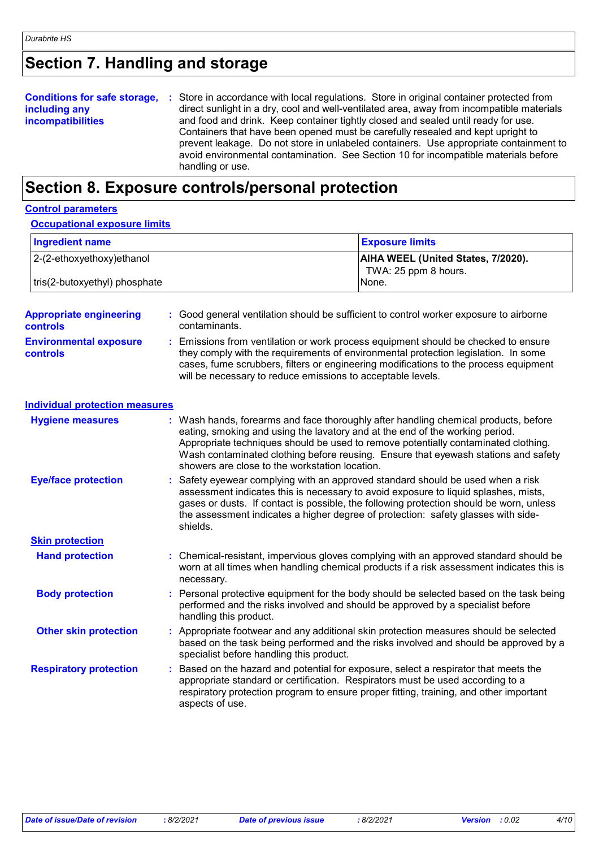# **Section 7. Handling and storage**

|                          | <b>Conditions for safe storage, :</b> Store in accordance with local regulations. Store in original container protected from |  |
|--------------------------|------------------------------------------------------------------------------------------------------------------------------|--|
| including any            | direct sunlight in a dry, cool and well-ventilated area, away from incompatible materials                                    |  |
| <b>incompatibilities</b> | and food and drink. Keep container tightly closed and sealed until ready for use.                                            |  |
|                          | Containers that have been opened must be carefully resealed and kept upright to                                              |  |
|                          | prevent leakage. Do not store in unlabeled containers. Use appropriate containment to                                        |  |
|                          | avoid environmental contamination. See Section 10 for incompatible materials before                                          |  |
|                          | handling or use.                                                                                                             |  |

# **Section 8. Exposure controls/personal protection**

| <b>Control parameters</b>                         |                                                                                                                                                                                                                                                                                                                                                                  |                                                                                                                                                                                   |  |
|---------------------------------------------------|------------------------------------------------------------------------------------------------------------------------------------------------------------------------------------------------------------------------------------------------------------------------------------------------------------------------------------------------------------------|-----------------------------------------------------------------------------------------------------------------------------------------------------------------------------------|--|
| <b>Occupational exposure limits</b>               |                                                                                                                                                                                                                                                                                                                                                                  |                                                                                                                                                                                   |  |
| <b>Ingredient name</b>                            |                                                                                                                                                                                                                                                                                                                                                                  | <b>Exposure limits</b>                                                                                                                                                            |  |
| 2-(2-ethoxyethoxy)ethanol                         |                                                                                                                                                                                                                                                                                                                                                                  | AIHA WEEL (United States, 7/2020).<br>TWA: 25 ppm 8 hours.                                                                                                                        |  |
| tris(2-butoxyethyl) phosphate                     |                                                                                                                                                                                                                                                                                                                                                                  | None.                                                                                                                                                                             |  |
| <b>Appropriate engineering</b><br><b>controls</b> | : Good general ventilation should be sufficient to control worker exposure to airborne<br>contaminants.                                                                                                                                                                                                                                                          |                                                                                                                                                                                   |  |
| <b>Environmental exposure</b><br><b>controls</b>  | Emissions from ventilation or work process equipment should be checked to ensure<br>they comply with the requirements of environmental protection legislation. In some<br>cases, fume scrubbers, filters or engineering modifications to the process equipment<br>will be necessary to reduce emissions to acceptable levels.                                    |                                                                                                                                                                                   |  |
| <b>Individual protection measures</b>             |                                                                                                                                                                                                                                                                                                                                                                  |                                                                                                                                                                                   |  |
| <b>Hygiene measures</b>                           | : Wash hands, forearms and face thoroughly after handling chemical products, before<br>eating, smoking and using the lavatory and at the end of the working period.<br>Appropriate techniques should be used to remove potentially contaminated clothing.<br>showers are close to the workstation location.                                                      | Wash contaminated clothing before reusing. Ensure that eyewash stations and safety                                                                                                |  |
| <b>Eye/face protection</b>                        | Safety eyewear complying with an approved standard should be used when a risk<br>assessment indicates this is necessary to avoid exposure to liquid splashes, mists,<br>gases or dusts. If contact is possible, the following protection should be worn, unless<br>the assessment indicates a higher degree of protection: safety glasses with side-<br>shields. |                                                                                                                                                                                   |  |
| <b>Skin protection</b>                            |                                                                                                                                                                                                                                                                                                                                                                  |                                                                                                                                                                                   |  |
| <b>Hand protection</b>                            | necessary.                                                                                                                                                                                                                                                                                                                                                       | : Chemical-resistant, impervious gloves complying with an approved standard should be<br>worn at all times when handling chemical products if a risk assessment indicates this is |  |
| <b>Body protection</b>                            | performed and the risks involved and should be approved by a specialist before<br>handling this product.                                                                                                                                                                                                                                                         | Personal protective equipment for the body should be selected based on the task being                                                                                             |  |
| <b>Other skin protection</b>                      | specialist before handling this product.                                                                                                                                                                                                                                                                                                                         | : Appropriate footwear and any additional skin protection measures should be selected<br>based on the task being performed and the risks involved and should be approved by a     |  |
| <b>Respiratory protection</b>                     | Based on the hazard and potential for exposure, select a respirator that meets the<br>appropriate standard or certification. Respirators must be used according to a<br>respiratory protection program to ensure proper fitting, training, and other important<br>aspects of use.                                                                                |                                                                                                                                                                                   |  |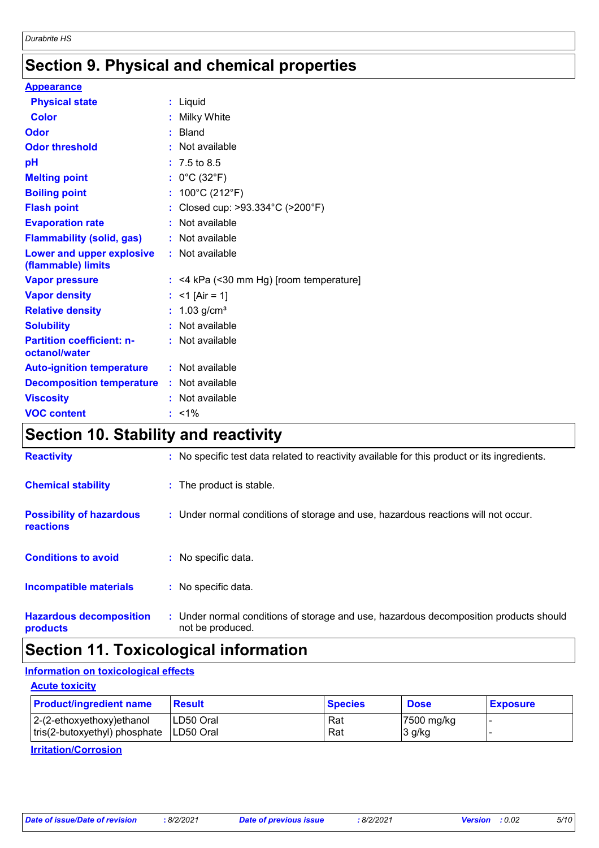# **Section 9. Physical and chemical properties**

| <b>Appearance</b>                                 |                                           |
|---------------------------------------------------|-------------------------------------------|
| <b>Physical state</b>                             | : Liquid                                  |
| <b>Color</b>                                      | : Milky White                             |
| Odor                                              | : Bland                                   |
| <b>Odor threshold</b>                             | : Not available                           |
| pH                                                | $: 7.5 \text{ to } 8.5$                   |
| <b>Melting point</b>                              | : $0^{\circ}$ C (32 $^{\circ}$ F)         |
| <b>Boiling point</b>                              | : $100^{\circ}$ C (212 $^{\circ}$ F)      |
| <b>Flash point</b>                                | : Closed cup: >93.334°C (>200°F)          |
| <b>Evaporation rate</b>                           | : Not available                           |
| <b>Flammability (solid, gas)</b>                  | : Not available                           |
| Lower and upper explosive<br>(flammable) limits   | : Not available                           |
| <b>Vapor pressure</b>                             | $:$ <4 kPa (<30 mm Hg) [room temperature] |
| <b>Vapor density</b>                              | : <1 [Air = 1]                            |
| <b>Relative density</b>                           | : $1.03$ g/cm <sup>3</sup>                |
| <b>Solubility</b>                                 | : Not available                           |
| <b>Partition coefficient: n-</b><br>octanol/water | : Not available                           |
| <b>Auto-ignition temperature</b>                  | : Not available                           |
| <b>Decomposition temperature</b>                  | : Not available                           |
| <b>Viscosity</b>                                  | : Not available                           |
| <b>VOC content</b>                                | $: 1\%$                                   |

# **Section 10. Stability and reactivity**

| <b>Reactivity</b>                                   | : No specific test data related to reactivity available for this product or its ingredients.              |
|-----------------------------------------------------|-----------------------------------------------------------------------------------------------------------|
| <b>Chemical stability</b>                           | : The product is stable.                                                                                  |
| <b>Possibility of hazardous</b><br><b>reactions</b> | : Under normal conditions of storage and use, hazardous reactions will not occur.                         |
| <b>Conditions to avoid</b>                          | : No specific data.                                                                                       |
| <b>Incompatible materials</b>                       | : No specific data.                                                                                       |
| <b>Hazardous decomposition</b><br>products          | : Under normal conditions of storage and use, hazardous decomposition products should<br>not be produced. |

# **Section 11. Toxicological information**

# **Information on toxicological effects**

**Acute toxicity** 2-(2-ethoxyethoxy)ethanol LD50 Oral Rat Rat 7500 mg/kg tris(2-butoxyethyl) phosphate LD50 Oral Rat Rat 3 g/kg **Product/ingredient name Result Result Result Species Dose Exposure** 

# **Irritation/Corrosion**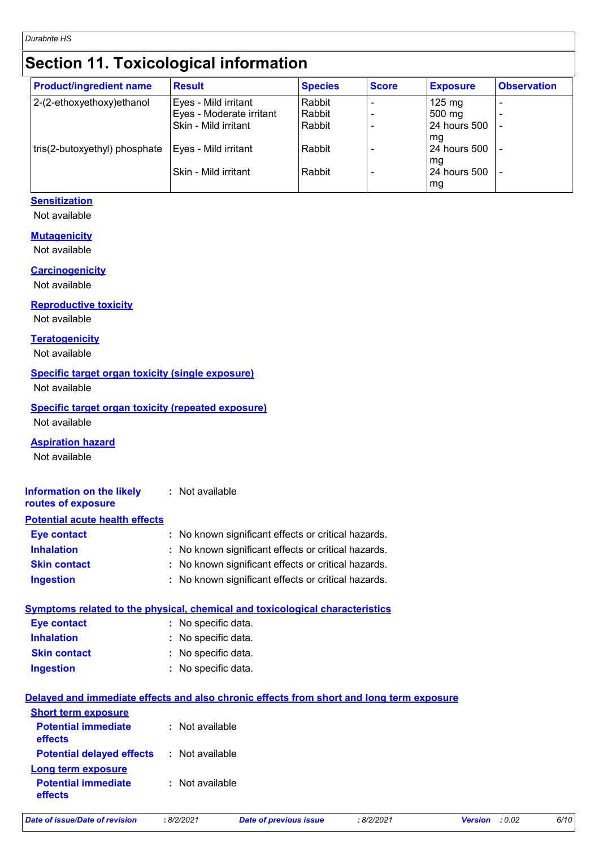# **Section 11. Toxicological information**

| <b>Product/ingredient name</b> | <b>Result</b>            | <b>Species</b> | <b>Score</b> | <b>Exposure</b>  | <b>Observation</b> |
|--------------------------------|--------------------------|----------------|--------------|------------------|--------------------|
| 2-(2-ethoxyethoxy)ethanol      | Eyes - Mild irritant     | Rabbit         |              | $125 \text{ mg}$ |                    |
|                                | Eyes - Moderate irritant | Rabbit         |              | 500 mg           |                    |
|                                | Skin - Mild irritant     | Rabbit         |              | 24 hours 500     |                    |
|                                |                          |                |              | mg               |                    |
| tris(2-butoxyethyl) phosphate  | Eyes - Mild irritant     | Rabbit         |              | 24 hours 500     |                    |
|                                |                          |                |              | mg               |                    |
|                                | Skin - Mild irritant     | Rabbit         |              | 24 hours 500     |                    |
|                                |                          |                |              | ∣ mg             |                    |

# **Sensitization**

Not available

## **Mutagenicity**

Not available

#### **Carcinogenicity**

Not available

## **Reproductive toxicity**

Not available

## **Teratogenicity**

Not available

## **Specific target organ toxicity (single exposure)**

Not available

# **Specific target organ toxicity (repeated exposure)**

Not available

## **Aspiration hazard**

Not available

#### **Information on the likely routes of exposure :** Not available

# **Potential acute health effects**

| <b>Eye contact</b>  | : No known significant effects or critical hazards. |
|---------------------|-----------------------------------------------------|
| <b>Inhalation</b>   | : No known significant effects or critical hazards. |
| <b>Skin contact</b> | : No known significant effects or critical hazards. |
| <b>Ingestion</b>    | : No known significant effects or critical hazards. |

# **Symptoms related to the physical, chemical and toxicological characteristics Eye contact :** No specific data.

| <b>Inhalation</b>   | : No specific data. |
|---------------------|---------------------|
| <b>Skin contact</b> | : No specific data. |
| Ingestion           | : No specific data. |

# No specific data. **:**

# **Delayed and immediate effects and also chronic effects from short and long term exposure**

| <b>Short term exposure</b>                                                    |                   |
|-------------------------------------------------------------------------------|-------------------|
| <b>Potential immediate</b><br>effects                                         | : Not available   |
| <b>Potential delayed effects : Not available</b><br><b>Long term exposure</b> |                   |
| <b>Potential immediate</b><br><b>effects</b>                                  | $:$ Not available |
|                                                                               |                   |

| 8/2/2021<br>Date of issue/Date of revision | Date of previous issue | 8/2/2021 | <b>Version</b> : 0.02 | 6/10 |
|--------------------------------------------|------------------------|----------|-----------------------|------|
|--------------------------------------------|------------------------|----------|-----------------------|------|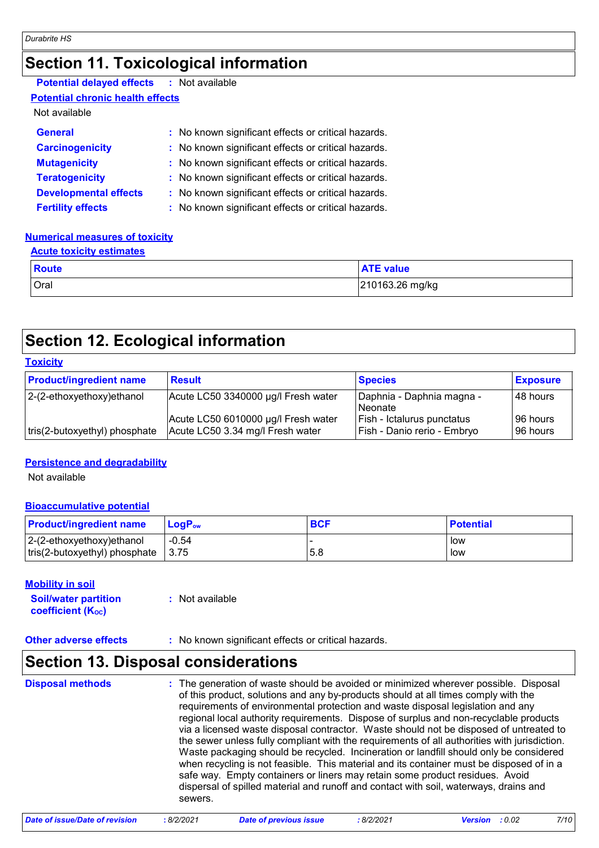# **Section 11. Toxicological information**

| <b>Potential delayed effects</b> | : Not available |
|----------------------------------|-----------------|
| .                                |                 |

# **Potential chronic health effects**

# Not available

| <b>General</b>               | : No known significant effects or critical hazards. |
|------------------------------|-----------------------------------------------------|
| <b>Carcinogenicity</b>       | : No known significant effects or critical hazards. |
| <b>Mutagenicity</b>          | : No known significant effects or critical hazards. |
| <b>Teratogenicity</b>        | : No known significant effects or critical hazards. |
| <b>Developmental effects</b> | : No known significant effects or critical hazards. |
| <b>Fertility effects</b>     | : No known significant effects or critical hazards. |

## **Numerical measures of toxicity**

#### **Acute toxicity estimates**

| <b>Route</b> | <b>ATE value</b> |
|--------------|------------------|
| Oral         | 210163.26 mg/kg  |

# **Section 12. Ecological information**

# **Toxicity**

| <b>Product/ingredient name</b> | <b>Result</b>                                                           | <b>Species</b>                                            | <b>Exposure</b>          |
|--------------------------------|-------------------------------------------------------------------------|-----------------------------------------------------------|--------------------------|
| 2-(2-ethoxyethoxy)ethanol      | Acute LC50 3340000 µg/l Fresh water                                     | Daphnia - Daphnia magna -<br>l Neonate                    | 48 hours                 |
| tris(2-butoxyethyl) phosphate  | Acute LC50 6010000 µg/l Fresh water<br>Acute LC50 3.34 mg/l Fresh water | Fish - Ictalurus punctatus<br>Fish - Danio rerio - Embryo | 196 hours<br>I96 hours l |

# **Persistence and degradability**

Not available

# **Bioaccumulative potential**

| <b>Product/ingredient name</b>        | $LoaPow$ | <b>BCF</b> | <b>Potential</b> |
|---------------------------------------|----------|------------|------------------|
| $ 2-(2-ethoxyethoxy)ethanol$          | $-0.54$  | 5.8        | low              |
| $ $ tris(2-butoxyethyl) phosphate $ $ | 3.75     |            | low              |

## **Mobility in soil**

| <b>Soil/water partition</b>    | : Not available |
|--------------------------------|-----------------|
| coefficient (K <sub>oc</sub> ) |                 |

# **Other adverse effects** : No known significant effects or critical hazards.

# **Section 13. Disposal considerations**

| <b>Disposal methods</b> | : The generation of waste should be avoided or minimized wherever possible. Disposal<br>of this product, solutions and any by-products should at all times comply with the<br>requirements of environmental protection and waste disposal legislation and any<br>regional local authority requirements. Dispose of surplus and non-recyclable products<br>via a licensed waste disposal contractor. Waste should not be disposed of untreated to<br>the sewer unless fully compliant with the requirements of all authorities with jurisdiction.<br>Waste packaging should be recycled. Incineration or landfill should only be considered<br>when recycling is not feasible. This material and its container must be disposed of in a<br>safe way. Empty containers or liners may retain some product residues. Avoid<br>dispersal of spilled material and runoff and contact with soil, waterways, drains and<br>sewers. |
|-------------------------|----------------------------------------------------------------------------------------------------------------------------------------------------------------------------------------------------------------------------------------------------------------------------------------------------------------------------------------------------------------------------------------------------------------------------------------------------------------------------------------------------------------------------------------------------------------------------------------------------------------------------------------------------------------------------------------------------------------------------------------------------------------------------------------------------------------------------------------------------------------------------------------------------------------------------|
|-------------------------|----------------------------------------------------------------------------------------------------------------------------------------------------------------------------------------------------------------------------------------------------------------------------------------------------------------------------------------------------------------------------------------------------------------------------------------------------------------------------------------------------------------------------------------------------------------------------------------------------------------------------------------------------------------------------------------------------------------------------------------------------------------------------------------------------------------------------------------------------------------------------------------------------------------------------|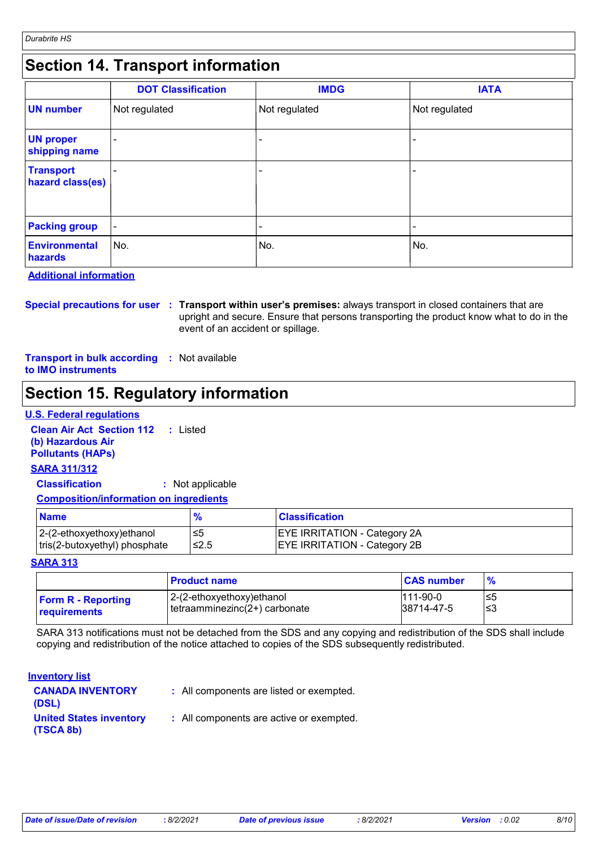# **Section 14. Transport information**

|                                      | <b>DOT Classification</b> | <b>IMDG</b>              | <b>IATA</b>   |
|--------------------------------------|---------------------------|--------------------------|---------------|
| <b>UN number</b>                     | Not regulated             | Not regulated            | Not regulated |
| <b>UN proper</b><br>shipping name    |                           |                          |               |
| <b>Transport</b><br>hazard class(es) |                           | $\overline{\phantom{a}}$ |               |
| <b>Packing group</b>                 | $\blacksquare$            | $\overline{\phantom{0}}$ |               |
| <b>Environmental</b><br>hazards      | ∣No.                      | No.                      | No.           |

**Additional information**

**Special precautions for user Transport within user's premises:** always transport in closed containers that are **:** upright and secure. Ensure that persons transporting the product know what to do in the event of an accident or spillage.

**Transport in bulk according :** Not available **to IMO instruments**

# **Section 15. Regulatory information**

## **U.S. Federal regulations**

**Clean Air Act Section 112 (b) Hazardous Air Pollutants (HAPs) :** Listed **SARA 311/312**

**Classification :** Not applicable

## **Composition/information on ingredients**

| <b>Name</b>                   |       | <b>Classification</b>               |
|-------------------------------|-------|-------------------------------------|
| $ 2-(2-ethoxyethoxy)ethanol$  |       | <b>EYE IRRITATION - Category 2A</b> |
| tris(2-butoxyethyl) phosphate | 1≤2.5 | <b>EYE IRRITATION - Category 2B</b> |

#### **SARA 313**

|                           | <b>Product name</b>            | <b>CAS number</b> |     |
|---------------------------|--------------------------------|-------------------|-----|
| <b>Form R - Reporting</b> | 2-(2-ethoxyethoxy)ethanol      | $111-90-0$        | ≤5  |
| <b>requirements</b>       | Itetraamminezinc(2+) carbonate | 38714-47-5        | ′≤3 |

SARA 313 notifications must not be detached from the SDS and any copying and redistribution of the SDS shall include copying and redistribution of the notice attached to copies of the SDS subsequently redistributed.

### **Inventory list**

| <b>CANADA INVENTORY</b><br>(DSL)            | : All components are listed or exempted. |
|---------------------------------------------|------------------------------------------|
| <b>United States inventory</b><br>(TSCA 8b) | : All components are active or exempted. |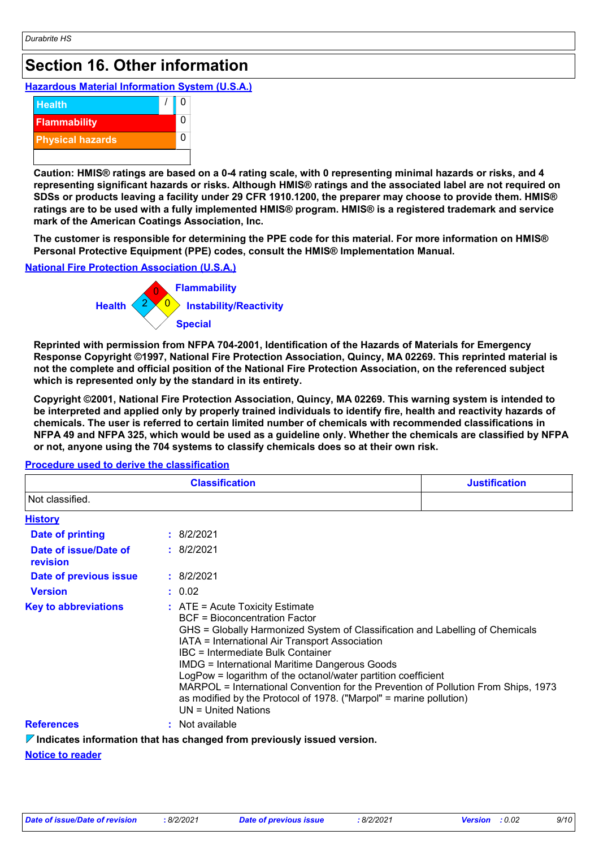# **Section 16. Other information**

# **Hazardous Material Information System (U.S.A.)**



**Caution: HMIS® ratings are based on a 0-4 rating scale, with 0 representing minimal hazards or risks, and 4 representing significant hazards or risks. Although HMIS® ratings and the associated label are not required on SDSs or products leaving a facility under 29 CFR 1910.1200, the preparer may choose to provide them. HMIS® ratings are to be used with a fully implemented HMIS® program. HMIS® is a registered trademark and service mark of the American Coatings Association, Inc.**

**The customer is responsible for determining the PPE code for this material. For more information on HMIS® Personal Protective Equipment (PPE) codes, consult the HMIS® Implementation Manual.**

# **National Fire Protection Association (U.S.A.)**



**Reprinted with permission from NFPA 704-2001, Identification of the Hazards of Materials for Emergency Response Copyright ©1997, National Fire Protection Association, Quincy, MA 02269. This reprinted material is not the complete and official position of the National Fire Protection Association, on the referenced subject which is represented only by the standard in its entirety.**

**Copyright ©2001, National Fire Protection Association, Quincy, MA 02269. This warning system is intended to be interpreted and applied only by properly trained individuals to identify fire, health and reactivity hazards of chemicals. The user is referred to certain limited number of chemicals with recommended classifications in NFPA 49 and NFPA 325, which would be used as a guideline only. Whether the chemicals are classified by NFPA or not, anyone using the 704 systems to classify chemicals does so at their own risk.**

|                                          | <b>Classification</b>                                                                                                                                                                                                                                                                                                                                                                                                                                                                                                                                                    | <b>Justification</b> |
|------------------------------------------|--------------------------------------------------------------------------------------------------------------------------------------------------------------------------------------------------------------------------------------------------------------------------------------------------------------------------------------------------------------------------------------------------------------------------------------------------------------------------------------------------------------------------------------------------------------------------|----------------------|
| Not classified.                          |                                                                                                                                                                                                                                                                                                                                                                                                                                                                                                                                                                          |                      |
| <b>History</b>                           |                                                                                                                                                                                                                                                                                                                                                                                                                                                                                                                                                                          |                      |
| <b>Date of printing</b>                  | : 8/2/2021                                                                                                                                                                                                                                                                                                                                                                                                                                                                                                                                                               |                      |
| Date of issue/Date of<br><b>revision</b> | : 8/2/2021                                                                                                                                                                                                                                                                                                                                                                                                                                                                                                                                                               |                      |
| Date of previous issue                   | : 8/2/2021                                                                                                                                                                                                                                                                                                                                                                                                                                                                                                                                                               |                      |
| <b>Version</b>                           | : 0.02                                                                                                                                                                                                                                                                                                                                                                                                                                                                                                                                                                   |                      |
| <b>Key to abbreviations</b>              | $\therefore$ ATE = Acute Toxicity Estimate<br><b>BCF</b> = Bioconcentration Factor<br>GHS = Globally Harmonized System of Classification and Labelling of Chemicals<br>IATA = International Air Transport Association<br>IBC = Intermediate Bulk Container<br><b>IMDG</b> = International Maritime Dangerous Goods<br>LogPow = logarithm of the octanol/water partition coefficient<br>MARPOL = International Convention for the Prevention of Pollution From Ships, 1973<br>as modified by the Protocol of 1978. ("Marpol" = marine pollution)<br>$UN = United Nations$ |                      |
| <b>References</b>                        | : Not available                                                                                                                                                                                                                                                                                                                                                                                                                                                                                                                                                          |                      |

## **Procedure used to derive the classification**

**Indicates information that has changed from previously issued version.**

# **Notice to reader**